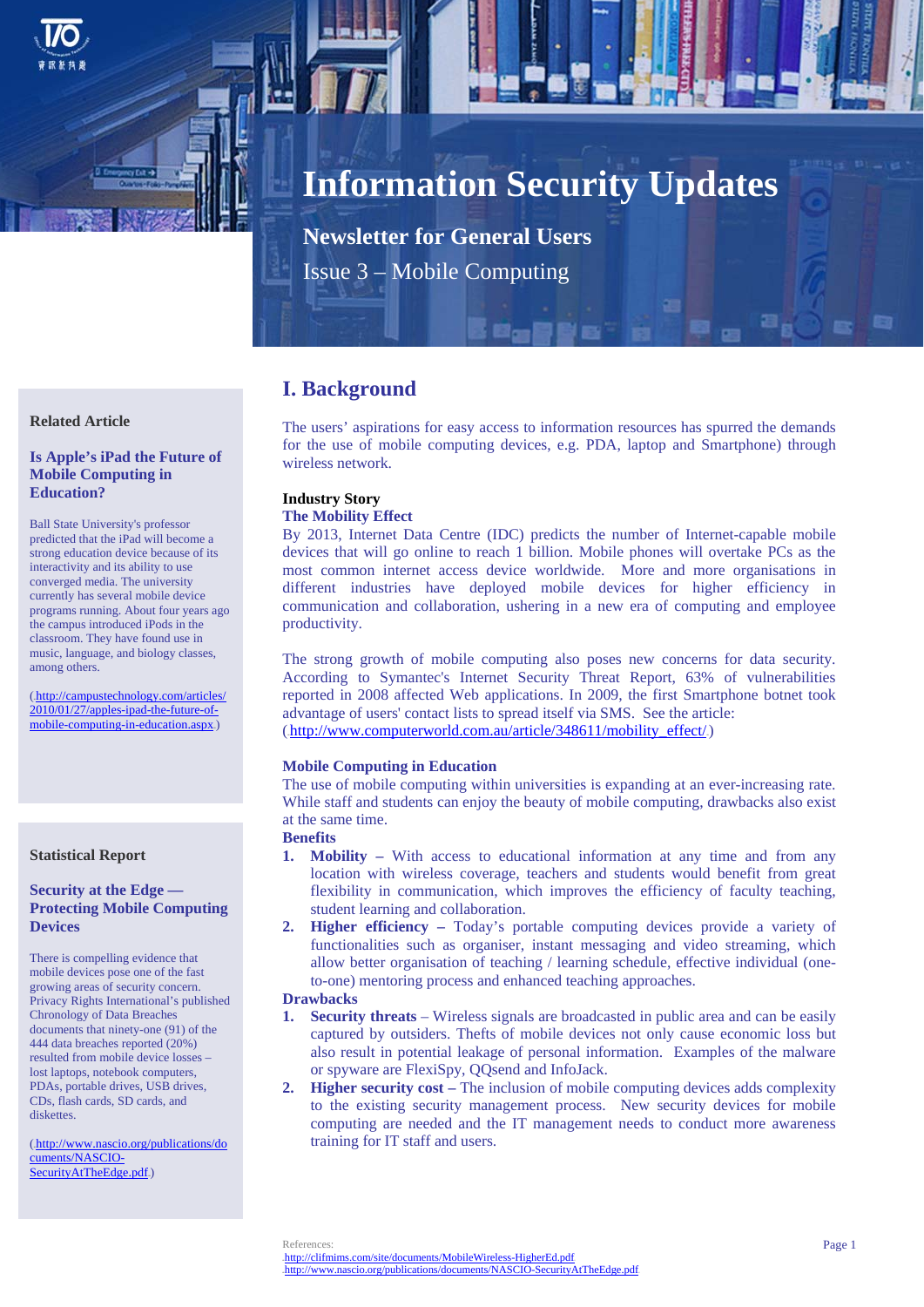

# **Information Security Updates**

**Newsletter for General Users**  Issue 3 – Mobile Computing

# **I. Background**

The users' aspirations for easy access to information resources has spurred the demands for the use of mobile computing devices, e.g. PDA, laptop and Smartphone) through wireless network.

#### **Industry Story The Mobility Effect**

By 2013, Internet Data Centre (IDC) predicts the number of Internet-capable mobile devices that will go online to reach 1 billion. Mobile phones will overtake PCs as the most common internet access device worldwide. More and more organisations in different industries have deployed mobile devices for higher efficiency in communication and collaboration, ushering in a new era of computing and employee productivity.

The strong growth of mobile computing also poses new concerns for data security. According to Symantec's Internet Security Threat Report, 63% of vulnerabilities reported in 2008 affected Web applications. In 2009, the first Smartphone botnet took advantage of users' contact lists to spread itself via SMS. See the article:  $(http://www.computerworld.com.au/article/348611/mobility effect/)$ 

# **Mobile Computing in Education**

The use of mobile computing within universities is expanding at an ever-increasing rate. While staff and students can enjoy the beauty of mobile computing, drawbacks also exist at the same time.

**Benefits** 

- **1. Mobility** With access to educational information at any time and from any location with wireless coverage, teachers and students would benefit from great flexibility in communication, which improves the efficiency of faculty teaching, student learning and collaboration.
- **2. Higher efficiency** Today's portable computing devices provide a variety of functionalities such as organiser, instant messaging and video streaming, which allow better organisation of teaching / learning schedule, effective individual (oneto-one) mentoring process and enhanced teaching approaches.

## **Drawbacks**

- **1. Security threats** Wireless signals are broadcasted in public area and can be easily captured by outsiders. Thefts of mobile devices not only cause economic loss but also result in potential leakage of personal information. Examples of the malware or spyware are FlexiSpy, QQsend and InfoJack.
- **2. Higher security cost** The inclusion of mobile computing devices adds complexity to the existing security management process. New security devices for mobile computing are needed and the IT management needs to conduct more awareness training for IT staff and users.

# **Related Article**

## **Is Apple's iPad the Future of Mobile Computing in Education?**

Ball State University's professor predicted that the iPad will become a strong education device because of its interactivity and its ability to use converged media. The university currently has several mobile device programs running. About four years ago the campus introduced iPods in the classroom. They have found use in music, language, and biology classes, among others.

(.http://campustechnology.com/articles/ 2010/01/27/apples-ipad-the-future-ofmobile-computing-in-education.aspx.)

#### **Statistical Report**

### **Security at the Edge — Protecting Mobile Computing Devices**

There is compelling evidence that mobile devices pose one of the fast growing areas of security concern. Privacy Rights International's published Chronology of Data Breaches documents that ninety-one (91) of the 444 data breaches reported (20%) resulted from mobile device losses – lost laptops, notebook computers, PDAs, portable drives, USB drives, CDs, flash cards, SD cards, and diskettes

(.http://www.nascio.org/publications/do cuments/NASCIO-SecurityAtTheEdge.pdf.)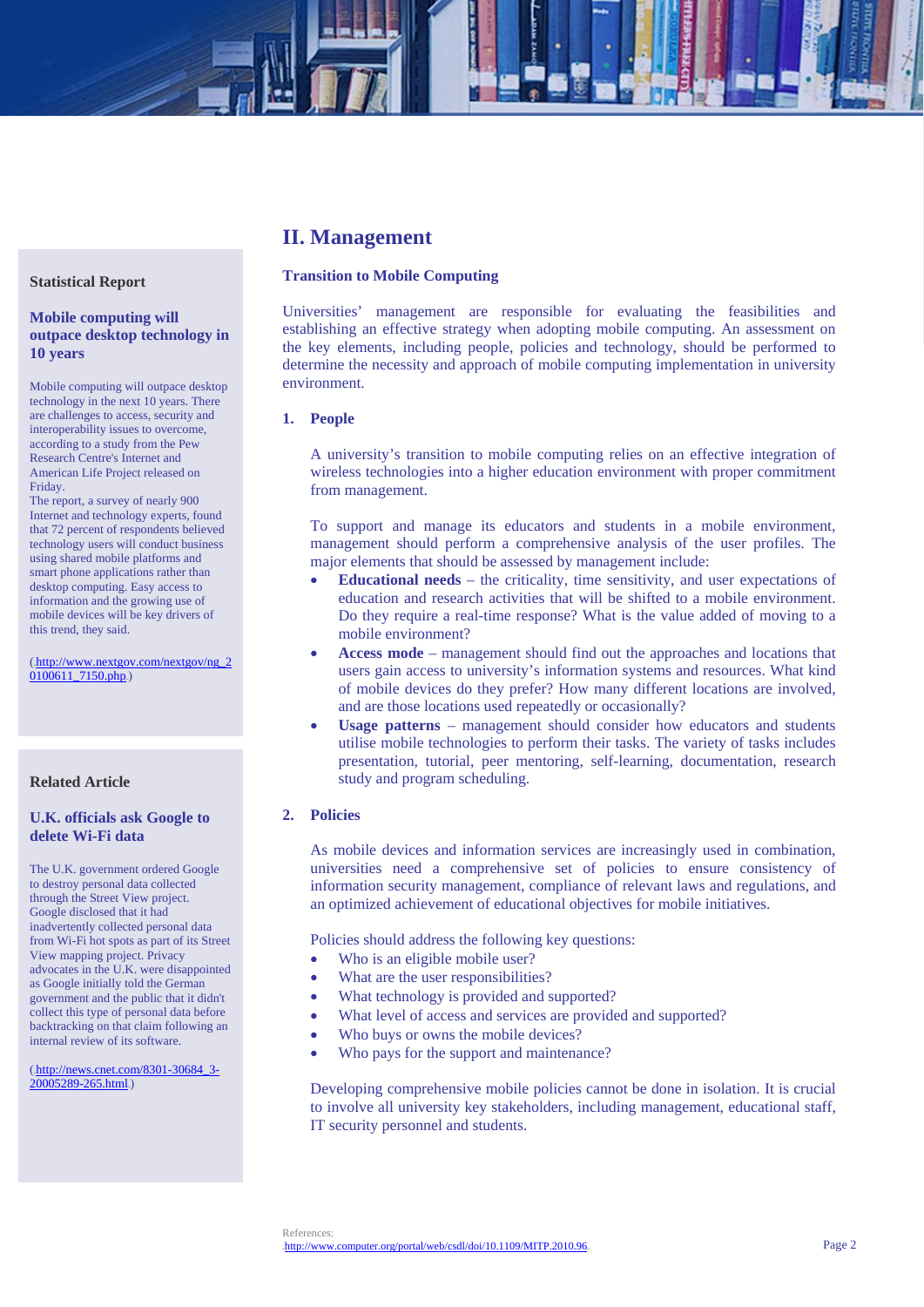#### **Statistical Report**

## **Mobile computing will outpace desktop technology in 10 years**

Mobile computing will outpace desktop technology in the next 10 years. There are challenges to access, security and interoperability issues to overcome, according to a study from the Pew Research Centre's Internet and American Life Project released on Friday.

The report, a survey of nearly 900 Internet and technology experts, found that 72 percent of respondents believed technology users will conduct business using shared mobile platforms and smart phone applications rather than desktop computing. Easy access to information and the growing use of mobile devices will be key drivers of this trend, they said.

(.http://www.nextgov.com/nextgov/ng\_2  $0100611$  7150.php.)

# **Related Article**

# **U.K. officials ask Google to delete Wi-Fi data**

The U.K. government ordered Google to destroy personal data collected through the Street View project. Google disclosed that it had inadvertently collected personal data from Wi-Fi hot spots as part of its Street View mapping project. Privacy advocates in the U.K. were disappointed as Google initially told the German government and the public that it didn't collect this type of personal data before backtracking on that claim following an internal review of its software.

(.http://news.cnet.com/8301-30684\_3-20005289-265.html.)

# **II. Management**

#### **Transition to Mobile Computing**

Universities' management are responsible for evaluating the feasibilities and establishing an effective strategy when adopting mobile computing. An assessment on the key elements, including people, policies and technology, should be performed to determine the necessity and approach of mobile computing implementation in university environment.

## **1. People**

A university's transition to mobile computing relies on an effective integration of wireless technologies into a higher education environment with proper commitment from management.

To support and manage its educators and students in a mobile environment, management should perform a comprehensive analysis of the user profiles. The major elements that should be assessed by management include:

- **Educational needs** the criticality, time sensitivity, and user expectations of education and research activities that will be shifted to a mobile environment. Do they require a real-time response? What is the value added of moving to a mobile environment?
- **Access mode**  management should find out the approaches and locations that users gain access to university's information systems and resources. What kind of mobile devices do they prefer? How many different locations are involved, and are those locations used repeatedly or occasionally?
- **Usage patterns**  management should consider how educators and students utilise mobile technologies to perform their tasks. The variety of tasks includes presentation, tutorial, peer mentoring, self-learning, documentation, research study and program scheduling.

# **2. Policies**

As mobile devices and information services are increasingly used in combination, universities need a comprehensive set of policies to ensure consistency of information security management, compliance of relevant laws and regulations, and an optimized achievement of educational objectives for mobile initiatives.

Policies should address the following key questions:

- Who is an eligible mobile user?
- What are the user responsibilities?
- What technology is provided and supported?
- What level of access and services are provided and supported?
- Who buys or owns the mobile devices?
- Who pays for the support and maintenance?

Developing comprehensive mobile policies cannot be done in isolation. It is crucial to involve all university key stakeholders, including management, educational staff, IT security personnel and students.

References: http://www.computer.org/portal/web/csdl/doi/10.1109/MITP.2010.96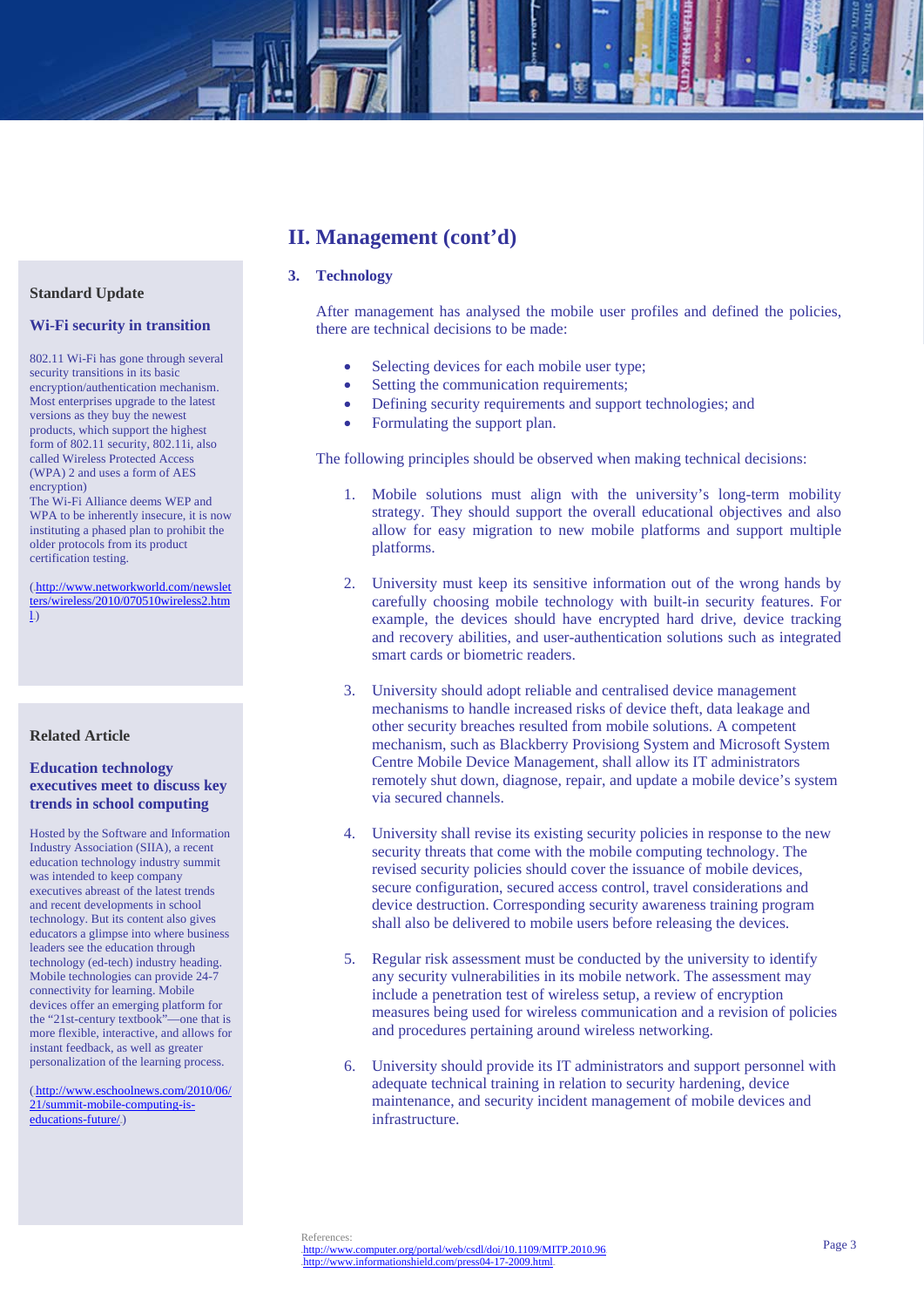# **II. Management (cont'd)**

# **3. Technology**

After management has analysed the mobile user profiles and defined the policies, there are technical decisions to be made:

- Selecting devices for each mobile user type;
- Setting the communication requirements;
- Defining security requirements and support technologies; and
- Formulating the support plan.

The following principles should be observed when making technical decisions:

- 1. Mobile solutions must align with the university's long-term mobility strategy. They should support the overall educational objectives and also allow for easy migration to new mobile platforms and support multiple platforms.
- 2. University must keep its sensitive information out of the wrong hands by carefully choosing mobile technology with built-in security features. For example, the devices should have encrypted hard drive, device tracking and recovery abilities, and user-authentication solutions such as integrated smart cards or biometric readers.
- 3. University should adopt reliable and centralised device management mechanisms to handle increased risks of device theft, data leakage and other security breaches resulted from mobile solutions. A competent mechanism, such as Blackberry Provisiong System and Microsoft System Centre Mobile Device Management, shall allow its IT administrators remotely shut down, diagnose, repair, and update a mobile device's system via secured channels.
- 4. University shall revise its existing security policies in response to the new security threats that come with the mobile computing technology. The revised security policies should cover the issuance of mobile devices, secure configuration, secured access control, travel considerations and device destruction. Corresponding security awareness training program shall also be delivered to mobile users before releasing the devices.
- 5. Regular risk assessment must be conducted by the university to identify any security vulnerabilities in its mobile network. The assessment may include a penetration test of wireless setup, a review of encryption measures being used for wireless communication and a revision of policies and procedures pertaining around wireless networking.
- 6. University should provide its IT administrators and support personnel with adequate technical training in relation to security hardening, device maintenance, and security incident management of mobile devices and infrastructure.

# **Standard Update**

#### **Wi-Fi security in transition**

802.11 Wi-Fi has gone through several security transitions in its basic encryption/authentication mechanism. Most enterprises upgrade to the latest versions as they buy the newest products, which support the highest form of 802.11 security, 802.11i, also called Wireless Protected Access (WPA) 2 and uses a form of AES encryption) The Wi-Fi Alliance deems WEP and

WPA to be inherently insecure, it is now instituting a phased plan to prohibit the older protocols from its product certification testing.

(.http://www.networkworld.com/newslet ters/wireless/2010/070510wireless2.htm  $\vert$ 

# **Related Article**

# **Education technology executives meet to discuss key trends in school computing**

Hosted by the Software and Information Industry Association (SIIA), a recent education technology industry summit was intended to keep company executives abreast of the latest trends and recent developments in school technology. But its content also gives educators a glimpse into where business leaders see the education through technology (ed-tech) industry heading. Mobile technologies can provide 24-7 connectivity for learning. Mobile devices offer an emerging platform for the "21st-century textbook"—one that is more flexible, interactive, and allows for instant feedback, as well as greater personalization of the learning process.

(.http://www.eschoolnews.com/2010/06/ 21/summit-mobile-computing-iseducations-future/